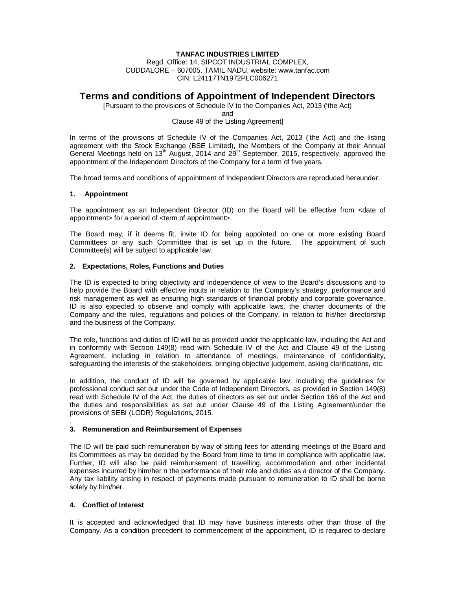### **TANFAC INDUSTRIES LIMITED**

Regd. Office: 14, SIPCOT INDUSTRIAL COMPLEX, CUDDALORE – 607005, TAMIL NADU, website: www.tanfac.com CIN: L24117TN1972PLC006271

# **Terms and conditions of Appointment of Independent Directors**

[Pursuant to the provisions of Schedule IV to the Companies Act, 2013 ('the Act)

and

#### Clause 49 of the Listing Agreement]

In terms of the provisions of Schedule IV of the Companies Act, 2013 ('the Act) and the listing agreement with the Stock Exchange (BSE Limited), the Members of the Company at their Annual General Meetings held on 13<sup>th</sup> August, 2014 and 29<sup>th</sup> September, 2015, respectively, approved the appointment of the Independent Directors of the Company for a term of five years.

The broad terms and conditions of appointment of Independent Directors are reproduced hereunder:

### **1. Appointment**

The appointment as an Independent Director (ID) on the Board will be effective from <date of appointment> for a period of <term of appointment>.

The Board may, if it deems fit, invite ID for being appointed on one or more existing Board Committees or any such Committee that is set up in the future. The appointment of such Committee(s) will be subject to applicable law.

### **2. Expectations, Roles, Functions and Duties**

The ID is expected to bring objectivity and independence of view to the Board's discussions and to help provide the Board with effective inputs in relation to the Company's strategy, performance and risk management as well as ensuring high standards of financial probity and corporate governance. ID is also expected to observe and comply with applicable laws, the charter documents of the Company and the rules, regulations and policies of the Company, in relation to his/her directorship and the business of the Company.

The role, functions and duties of ID will be as provided under the applicable law, including the Act and in conformity with Section 149(8) read with Schedule IV of the Act and Clause 49 of the Listing Agreement, including in relation to attendance of meetings, maintenance of confidentiality, safeguarding the interests of the stakeholders, bringing objective judgement, asking clarifications, etc.

In addition, the conduct of ID will be governed by applicable law, including the guidelines for professional conduct set out under the Code of Independent Directors, as provided in Section 149(8) read with Schedule IV of the Act, the duties of directors as set out under Section 166 of the Act and the duties and responsibilities as set out under Clause 49 of the Listing Agreement/under the provisions of SEBI (LODR) Regulations, 2015.

#### . **3. Remuneration and Reimbursement of Expenses**

The ID will be paid such remuneration by way of sitting fees for attending meetings of the Board and its Committees as may be decided by the Board from time to time in compliance with applicable law. Further, ID will also be paid reimbursement of travelling, accommodation and other incidental expenses incurred by him/her n the performance of their role and duties as a director of the Company. Any tax liability arising in respect of payments made pursuant to remuneration to ID shall be borne solely by him/her.

## **4. Conflict of Interest**

It is accepted and acknowledged that ID may have business interests other than those of the Company. As a condition precedent to commencement of the appointment, ID is required to declare